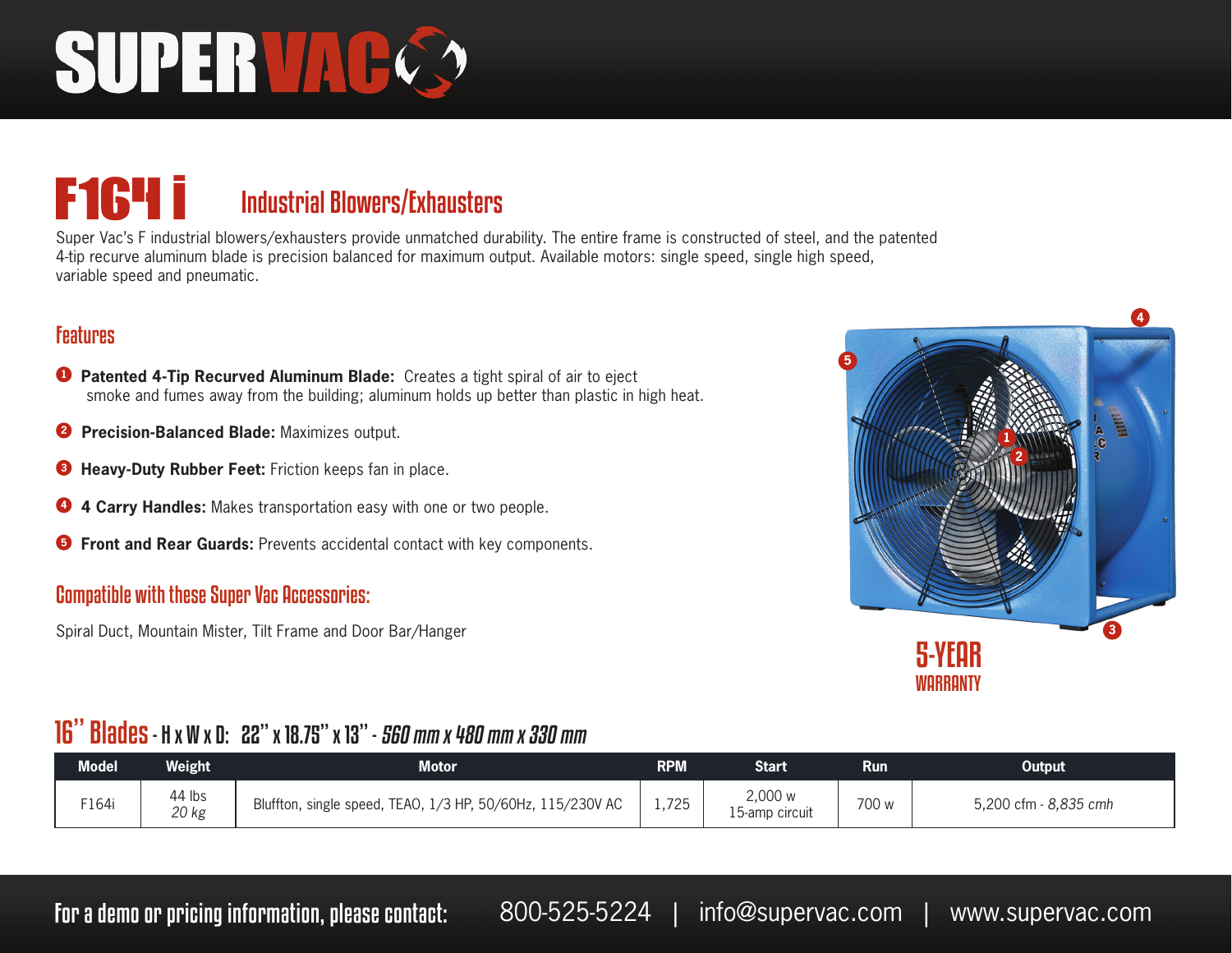# SUPERVAC

### **F164 i** Industrial Blowers/Exhausters

Super Vac's F industrial blowers/exhausters provide unmatched durability. The entire frame is constructed of steel, and the patented 4-tip recurve aluminum blade is precision balanced for maximum output. Available motors: single speed, single high speed, variable speed and pneumatic.

#### **Features**

- **<sup>1</sup> Patented 4-Tip Recurved Aluminum Blade:** Creates a tight spiral of air to eject smoke and fumes away from the building; aluminum holds up better than plastic in high heat.
- **2 Precision-Balanced Blade:** Maximizes output.
- **<sup>3</sup> Heavy-Duty Rubber Feet:** Friction keeps fan in place.
- **<sup>4</sup> 4 Carry Handles:** Makes transportation easy with one or two people.
- **<sup>5</sup> Front and Rear Guards:** Prevents accidental contact with key components.

#### Compatible with these Super Vac Accessories:

Spiral Duct, Mountain Mister, Tilt Frame and Door Bar/Hanger



#### 16" Blades - H x W x D: 22" x 18.75" x 13" - 560 mm x 480 mm x 330 mm

| <b>Model</b> | <b>Weight</b>   | <b>Motor</b>                                               | <b>RPM</b> | Start                     | Run   | Output                |
|--------------|-----------------|------------------------------------------------------------|------------|---------------------------|-------|-----------------------|
| F164i        | 44 lbs<br>20 kg | Bluffton, single speed, TEAO, 1/3 HP, 50/60Hz, 115/230V AC | 1,725      | 2,000 w<br>15-amp circuit | 700 w | 5,200 cfm - 8,835 cmh |

For a demo or pricing information, please contact: 800-525-5224 | info@supervac.com | www.supervac.com